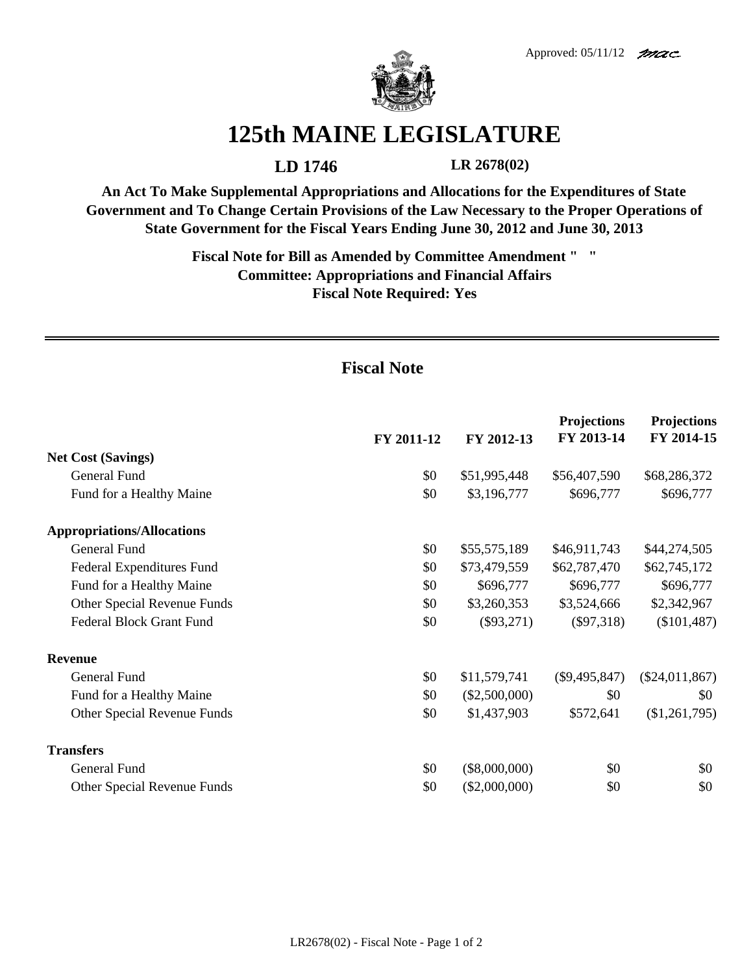

## **125th MAINE LEGISLATURE**

**LD 1746 LR 2678(02)**

**An Act To Make Supplemental Appropriations and Allocations for the Expenditures of State Government and To Change Certain Provisions of the Law Necessary to the Proper Operations of State Government for the Fiscal Years Ending June 30, 2012 and June 30, 2013**

> **Fiscal Note for Bill as Amended by Committee Amendment " " Committee: Appropriations and Financial Affairs Fiscal Note Required: Yes**

## **Fiscal Note**

|                                   | FY 2011-12 | FY 2012-13      | <b>Projections</b><br>FY 2013-14 | <b>Projections</b><br>FY 2014-15 |
|-----------------------------------|------------|-----------------|----------------------------------|----------------------------------|
| <b>Net Cost (Savings)</b>         |            |                 |                                  |                                  |
| General Fund                      | \$0        | \$51,995,448    | \$56,407,590                     | \$68,286,372                     |
| Fund for a Healthy Maine          | \$0        | \$3,196,777     | \$696,777                        | \$696,777                        |
| <b>Appropriations/Allocations</b> |            |                 |                                  |                                  |
| General Fund                      | \$0        | \$55,575,189    | \$46,911,743                     | \$44,274,505                     |
| Federal Expenditures Fund         | \$0        | \$73,479,559    | \$62,787,470                     | \$62,745,172                     |
| Fund for a Healthy Maine          | \$0        | \$696,777       | \$696,777                        | \$696,777                        |
| Other Special Revenue Funds       | \$0        | \$3,260,353     | \$3,524,666                      | \$2,342,967                      |
| <b>Federal Block Grant Fund</b>   | \$0        | $(\$93,271)$    | $(\$97,318)$                     | $(\$101,487)$                    |
| <b>Revenue</b>                    |            |                 |                                  |                                  |
| General Fund                      | \$0        | \$11,579,741    | $(\$9,495,847)$                  | $(\$24,011,867)$                 |
| Fund for a Healthy Maine          | \$0        | $(\$2,500,000)$ | \$0                              | \$0                              |
| Other Special Revenue Funds       | \$0        | \$1,437,903     | \$572,641                        | (\$1,261,795)                    |
| <b>Transfers</b>                  |            |                 |                                  |                                  |
| General Fund                      | \$0        | $(\$8,000,000)$ | \$0                              | \$0                              |
| Other Special Revenue Funds       | \$0        | $(\$2,000,000)$ | \$0                              | \$0                              |